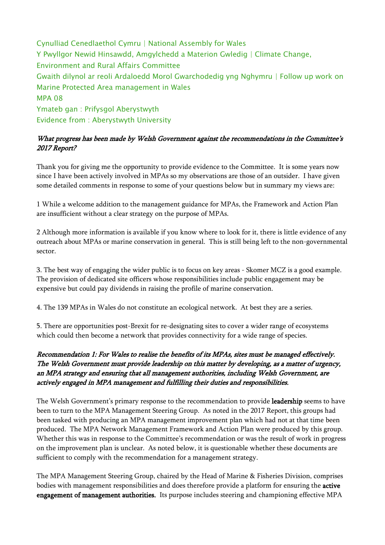Cynulliad Cenedlaethol Cymru | National Assembly for Wales Y Pwyllgor Newid Hinsawdd, Amgylchedd a Materion Gwledig | Climate Change, Environment and Rural Affairs Committee Gwaith dilynol ar reoli Ardaloedd Morol Gwarchodedig yng Nghymru | Follow up work on Marine Protected Area management in Wales MPA 08 Ymateb gan : Prifysgol Aberystwyth Evidence from : Aberystwyth University

## What progress has been made by Welsh Government against the recommendations in the Committee's 2017 Report?

Thank you for giving me the opportunity to provide evidence to the Committee. It is some years now since I have been actively involved in MPAs so my observations are those of an outsider. I have given some detailed comments in response to some of your questions below but in summary my views are:

1 While a welcome addition to the management guidance for MPAs, the Framework and Action Plan are insufficient without a clear strategy on the purpose of MPAs.

2 Although more information is available if you know where to look for it, there is little evidence of any outreach about MPAs or marine conservation in general. This is still being left to the non-governmental sector.

3. The best way of engaging the wider public is to focus on key areas - Skomer MCZ is a good example. The provision of dedicated site officers whose responsibilities include public engagement may be expensive but could pay dividends in raising the profile of marine conservation.

4. The 139 MPAs in Wales do not constitute an ecological network. At best they are a series.

5. There are opportunities post-Brexit for re-designating sites to cover a wider range of ecosystems which could then become a network that provides connectivity for a wide range of species.

# Recommendation 1: For Wales to realise the benefits of its MPAs, sites must be managed effectively. The Welsh Government must provide leadership on this matter by developing, as a matter of urgency, an MPA strategy and ensuring that all management authorities, including Welsh Government, are actively engaged in MPA management and fulfilling their duties and responsibilities.

The Welsh Government's primary response to the recommendation to provide **leadership** seems to have been to turn to the MPA Management Steering Group. As noted in the 2017 Report, this groups had been tasked with producing an MPA management improvement plan which had not at that time been produced. The MPA Network Management Framework and Action Plan were produced by this group. Whether this was in response to the Committee's recommendation or was the result of work in progress on the improvement plan is unclear. As noted below, it is questionable whether these documents are sufficient to comply with the recommendation for a management strategy.

The MPA Management Steering Group, chaired by the Head of Marine & Fisheries Division, comprises bodies with management responsibilities and does therefore provide a platform for ensuring the active engagement of management authorities. Its purpose includes steering and championing effective MPA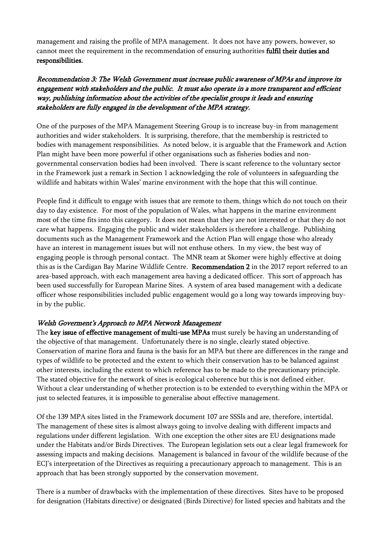management and raising the profile of MPA management. It does not have any powers, however, so cannot meet the requirement in the recommendation of ensuring authorities fulfil their duties and responsibilities.

## Recommendation 3: The Welsh Government must increase public awareness of MPAs and improve its engagement with stakeholders and the public. It must also operate in a more transparent and efficient way, publishing information about the activities of the specialist groups it leads and ensuring stakeholders are fully engaged in the development of the MPA strategy.

One of the purposes of the MPA Management Steering Group is to increase buy-in from management authorities and wider stakeholders. It is surprising, therefore, that the membership is restricted to bodies with management responsibilities. As noted below, it is arguable that the Framework and Action Plan might have been more powerful if other organisations such as fisheries bodies and nongovernmental conservation bodies had been involved. There is scant reference to the voluntary sector in the Framework just a remark in Section 1 acknowledging the role of volunteers in safeguarding the wildlife and habitats within Wales' marine environment with the hope that this will continue.

People find it difficult to engage with issues that are remote to them, things which do not touch on their day to day existence. For most of the population of Wales, what happens in the marine environment most of the time fits into this category. It does not mean that they are not interested or that they do not care what happens. Engaging the public and wider stakeholders is therefore a challenge. Publishing documents such as the Management Framework and the Action Plan will engage those who already have an interest in management issues but will not enthuse others. In my view, the best way of engaging people is through personal contact. The MNR team at Skomer were highly effective at doing this as is the Cardigan Bay Marine Wildlife Centre. Recommendation 2 in the 2017 report referred to an area-based approach, with each management area having a dedicated officer. This sort of approach has been used successfully for European Marine Sites. A system of area based management with a dedicate officer whose responsibilities included public engagement would go a long way towards improving buyin by the public.

#### Welsh Goverment's Approach to MPA Network Management

The key issue of effective management of multi-use MPAs must surely be having an understanding of the objective of that management. Unfortunately there is no single, clearly stated objective. Conservation of marine flora and fauna is the basis for an MPA but there are differences in the range and types of wildlife to be protected and the extent to which their conservation has to be balanced against other interests, including the extent to which reference has to be made to the precautionary principle. The stated objective for the network of sites is ecological coherence but this is not defined either. Without a clear understanding of whether protection is to be extended to everything within the MPA or just to selected features, it is impossible to generalise about effective management.

Of the 139 MPA sites listed in the Framework document 107 are SSSIs and are, therefore, intertidal. The management of these sites is almost always going to involve dealing with different impacts and regulations under different legislation. With one exception the other sites are EU designations made under the Habitats and/or Birds Directives. The European legislation sets out a clear legal framework for assessing impacts and making decisions. Management is balanced in favour of the wildlife because of the ECJ's interpretation of the Directives as requiring a precautionary approach to management. This is an approach that has been strongly supported by the conservation movement.

There is a number of drawbacks with the implementation of these directives. Sites have to be proposed for designation (Habitats directive) or designated (Birds Directive) for listed species and habitats and the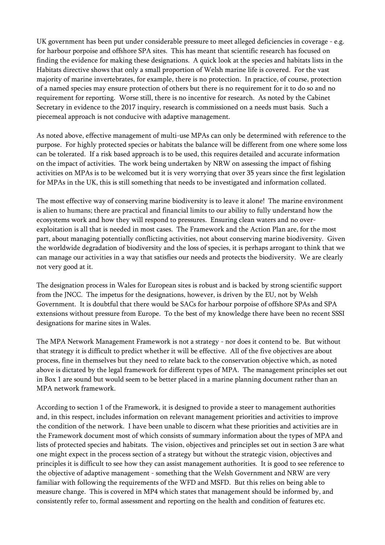UK government has been put under considerable pressure to meet alleged deficiencies in coverage - e.g. for harbour porpoise and offshore SPA sites. This has meant that scientific research has focused on finding the evidence for making these designations. A quick look at the species and habitats lists in the Habitats directive shows that only a small proportion of Welsh marine life is covered. For the vast majority of marine invertebrates, for example, there is no protection. In practice, of course, protection of a named species may ensure protection of others but there is no requirement for it to do so and no requirement for reporting. Worse still, there is no incentive for research. As noted by the Cabinet Secretary in evidence to the 2017 inquiry, research is commissioned on a needs must basis. Such a piecemeal approach is not conducive with adaptive management.

As noted above, effective management of multi-use MPAs can only be determined with reference to the purpose. For highly protected species or habitats the balance will be different from one where some loss can be tolerated. If a risk based approach is to be used, this requires detailed and accurate information on the impact of activities. The work being undertaken by NRW on assessing the impact of fishing activities on MPAs is to be welcomed but it is very worrying that over 35 years since the first legislation for MPAs in the UK, this is still something that needs to be investigated and information collated.

The most effective way of conserving marine biodiversity is to leave it alone! The marine environment is alien to humans; there are practical and financial limits to our ability to fully understand how the ecosystems work and how they will respond to pressures. Ensuring clean waters and no overexploitation is all that is needed in most cases. The Framework and the Action Plan are, for the most part, about managing potentially conflicting activities, not about conserving marine biodiversity. Given the worldwide degradation of biodiversity and the loss of species, it is perhaps arrogant to think that we can manage our activities in a way that satisfies our needs and protects the biodiversity. We are clearly not very good at it.

The designation process in Wales for European sites is robust and is backed by strong scientific support from the JNCC. The impetus for the designations, however, is driven by the EU, not by Welsh Government. It is doubtful that there would be SACs for harbour porpoise of offshore SPAs and SPA extensions without pressure from Europe. To the best of my knowledge there have been no recent SSSI designations for marine sites in Wales.

The MPA Network Management Framework is not a strategy - nor does it contend to be. But without that strategy it is difficult to predict whether it will be effective. All of the five objectives are about process, fine in themselves but they need to relate back to the conservation objective which, as noted above is dictated by the legal framework for different types of MPA. The management principles set out in Box 1 are sound but would seem to be better placed in a marine planning document rather than an MPA network framework.

According to section 1 of the Framework, it is designed to provide a steer to management authorities and, in this respect, includes information on relevant management priorities and activities to improve the condition of the network. I have been unable to discern what these priorities and activities are in the Framework document most of which consists of summary information about the types of MPA and lists of protected species and habitats. The vision, objectives and principles set out in section 3 are what one might expect in the process section of a strategy but without the strategic vision, objectives and principles it is difficult to see how they can assist management authorities. It is good to see reference to the objective of adaptive management - something that the Welsh Government and NRW are very familiar with following the requirements of the WFD and MSFD. But this relies on being able to measure change. This is covered in MP4 which states that management should be informed by, and consistently refer to, formal assessment and reporting on the health and condition of features etc.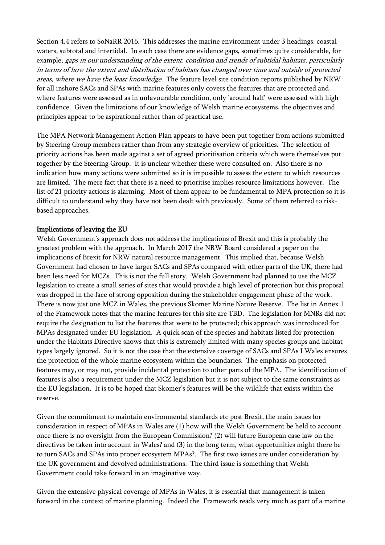Section 4.4 refers to SoNaRR 2016. This addresses the marine environment under 3 headings: coastal waters, subtotal and intertidal. In each case there are evidence gaps, sometimes quite considerable, for example, gaps in our understanding of the extent, condition and trends of subtidal habitats, particularly in terms of how the extent and distribution of habitats has changed over time and outside of protected areas, where we have the least knowledge. The feature level site condition reports published by NRW for all inshore SACs and SPAs with marine features only covers the features that are protected and, where features were assessed as in unfavourable condition, only 'around half' were assessed with high confidence. Given the limitations of our knowledge of Welsh marine ecosystems, the objectives and principles appear to be aspirational rather than of practical use.

The MPA Network Management Action Plan appears to have been put together from actions submitted by Steering Group members rather than from any strategic overview of priorities. The selection of priority actions has been made against a set of agreed prioritisation criteria which were themselves put together by the Steering Group. It is unclear whether these were consulted on. Also there is no indication how many actions were submitted so it is impossible to assess the extent to which resources are limited. The mere fact that there is a need to prioritise implies resource limitations however. The list of 21 priority actions is alarming. Most of them appear to be fundamental to MPA protection so it is difficult to understand why they have not been dealt with previously. Some of them referred to riskbased approaches.

#### Implications of leaving the EU

Welsh Government's approach does not address the implications of Brexit and this is probably the greatest problem with the approach. In March 2017 the NRW Board considered a paper on the implications of Brexit for NRW natural resource management. This implied that, because Welsh Government had chosen to have larger SACs and SPAs compared with other parts of the UK, there had been less need for MCZs. This is not the full story. Welsh Government had planned to use the MCZ legislation to create a small series of sites that would provide a high level of protection but this proposal was dropped in the face of strong opposition during the stakeholder engagement phase of the work. There is now just one MCZ in Wales, the previous Skomer Marine Nature Reserve. The list in Annex 1 of the Framework notes that the marine features for this site are TBD. The legislation for MNRs did not require the designation to list the features that were to be protected; this approach was introduced for MPAs designated under EU legislation. A quick scan of the species and habitats listed for protection under the Habitats Directive shows that this is extremely limited with many species groups and habitat types largely ignored. So it is not the case that the extensive coverage of SACs and SPAs I Wales ensures the protection of the whole marine ecosystem within the boundaries. The emphasis on protected features may, or may not, provide incidental protection to other parts of the MPA. The identification of features is also a requirement under the MCZ legislation but it is not subject to the same constraints as the EU legislation. It is to be hoped that Skomer's features will be the wildlife that exists within the reserve.

Given the commitment to maintain environmental standards etc post Brexit, the main issues for consideration in respect of MPAs in Wales are (1) how will the Welsh Government be held to account once there is no oversight from the European Commission? (2) will future European case law on the directives be taken into account in Wales? and (3) in the long term, what opportunities might there be to turn SACs and SPAs into proper ecosystem MPAs?. The first two issues are under consideration by the UK government and devolved administrations. The third issue is something that Welsh Government could take forward in an imaginative way.

Given the extensive physical coverage of MPAs in Wales, it is essential that management is taken forward in the context of marine planning. Indeed the Framework reads very much as part of a marine